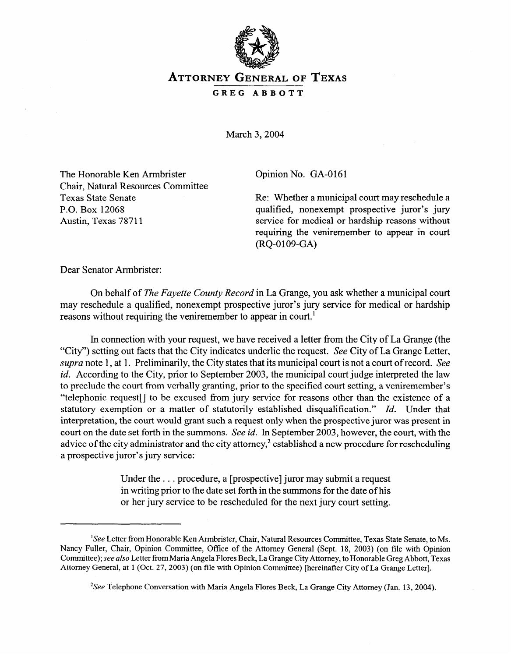

## **ATTORNEY GENERAL OF TEXAS GREG ABBOTT**

March 3,2004

The Honorable Ken Armbrister Chair, Natural Resources Committee Texas State Senate P.O. Box 12068 Austin, Texas 78711

Opinion No. GA-0161

Re: Whether a municipal court may reschedule a qualified, nonexempt prospective juror's jury service for medical or hardship reasons without requiring the veniremember to appear in court (RQ-01 09-GA)

Dear Senator Armbrister:

On behalf of *The Fayette County Record* in La Grange, you ask whether a municipal court may reschedule a qualified, nonexempt prospective juror's jury service for medical or hardship reasons without requiring the veniremember to appear in court.'

In connection with your request, we have received a letter from the City of La Grange (the "City") setting out facts that the City indicates underlie the request. See City of La Grange Letter, *supra* note 1, at 1. Preliminarily, the City states that its municipal court is not a court of record. See *id.* According to the City, prior to September 2003, the municipal court judge interpreted the law to preclude the court from verbally granting, prior to the specified court setting, a veniremember's "telephonic request[] to be excused from jury service for reasons other than the existence of a statutory exemption or a matter of statutorily established disqualification." *Id.* Under that interpretation, the court would grant such a request only when the prospective juror was present in court on the date set forth in the summons. See *id.* In September 2003, however, the court, with the advice of the city administrator and the city attorney,<sup>2</sup> established a new procedure for rescheduling a prospective juror's jury service:

> Under the ... procedure, a [prospective] juror may submit a request in writing prior to the date set forth in the summons for the date of his or her jury service to be rescheduled for the next jury court setting.

<sup>&</sup>lt;sup>1</sup>See Letter from Honorable Ken Armbrister, Chair, Natural Resources Committee, Texas State Senate, to Ms. Nancy Fuller, Chair, Opinion Committee, Office of the Attorney General (Sept. 18, 2003) (on file with Opinion Committee); see *also* Letter fromMaria Angela Flores Beck, La Grange City Attorney, to Honorable Greg Abbott, Texas Attorney General, at 1 (Oct. 27, 2003) (on file with Opinion Committee) [hereinafter City of La Grange Letter].

<sup>&</sup>lt;sup>2</sup>See Telephone Conversation with Maria Angela Flores Beck, La Grange City Attorney (Jan. 13, 2004).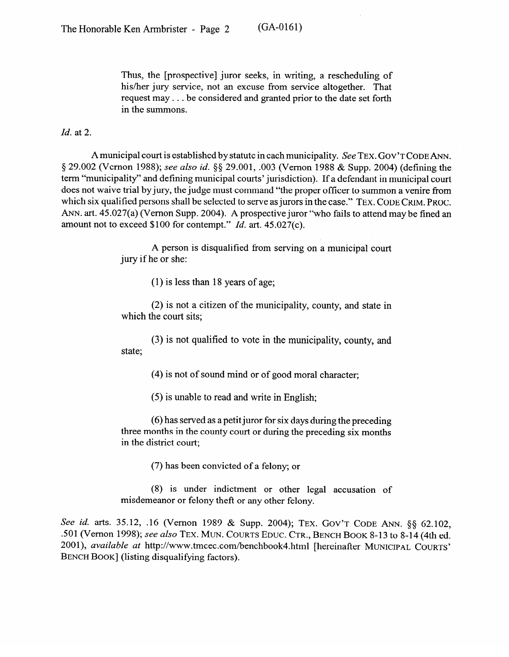Thus, the [prospective] juror seeks, in writing, a rescheduling of his/her jury service, not an excuse from service altogether. That request may. . . be considered and granted prior to the date set forth in the summons.

*Id.* at 2.

A municipal court is established by statute in each municipality. See **TEX. GOV'T CODE ANN.**  5 29.002 (Vernon 1988); see *also id.* \$9 29.001, .003 (Vernon 1988 & Supp. 2004) (defining the term "municipality" and defining municipal courts' jurisdiction). If a defendant in municipal court does not waive trial by jury, the judge must command "the proper officer to summon a venire from which six qualified persons shall be selected to serve as jurors in the case." **TEX. CODE** GRIM. **PROC.**  ANN. art. 45.027(a) (Vernon Supp. 2004). A prospective juror "who fails to attend may be fined an amount not to exceed \$100 for contempt." *Id.* art. 45.027(c).

> A person is disqualified from serving on a municipal court jury if he or she:

> > (1) is less than 18 years of age;

(2) is not a citizen of the municipality, county, and state in which the court sits;

(3) is not qualified to vote in the municipality, county, and state;

(4) is not of sound mind or of good moral character;

 $\left(5\right)$ 

(6) has served as a petit juror for six days during the preceding in the district court;

> (7) has been convicted of a felony; or (7) has been convicted of a felony; or

(8) is under indictment or other legal accusation of misdemeanor or felony theft or any other felony.

See *id.* arts. 35.12, .16 (Vernon 1989 & Supp. 2004); TEX. GOV'T CODE ANN. §§ 62.102, .501 (Vernon 1998); see also TEX. MUN. COURTS EDUC. CTR., BENCH BOOK 8-13 to 8-14 (4th ed. 2001), available at http://www.tmcec.com/benchbook4.html [hereinafter MUNICIPAL COURTS' **2002** BENCH BOOK] (listing disqualifying factors).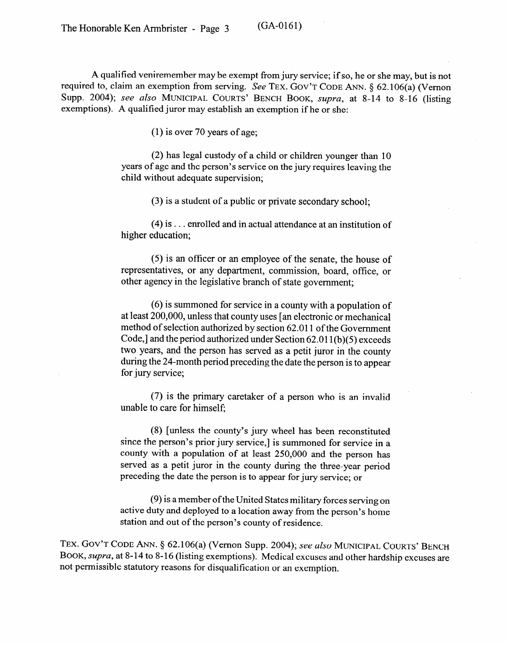A qualified veniremember may be exempt from jury service; if so, he or she may, but is not required to, claim an exemption from serving. See TEX. GOV'T CODE ANN. § 62.106(a) (Vernon Supp. 2004); **see** *also* **MUNICIPAL COURTS' BENCH** BOOK, *supra,* at 8-14 to 8-16 (listing exemptions). A qualified juror may establish an exemption if he or she:

(1) is over 70 years of age;

(2) has legal custody of a child or children younger than 10 years of age and the person's service on the jury requires leaving the child without adequate supervision;

(3) is a student of a public or private secondary school;

(4) is. . . enrolled and in actual attendance at an institution of higher education;

(5) is an officer or an employee of the senate, the house of representatives, or any department, commission, board, office, or representatives, or any department, commission, board, office, or other agency in the legislative branch of state government;

(6) is summoned for service in a county with a population of at least  $200,000$ , unless that county uses [an electronic or mechanical method of selection authorized by section 62.011 of the Government Code, and the period authorized under Section  $62.011(b)(5)$  exceeds two years, and the person has served as a petit juror in the county during the 24-month period preceding the data the percent at a group  $\frac{1}{2}$  for the  $\frac{1}{2}$  period period the person is to appear for jury service;

(7) is the primary caretaker of a person who is an invalid

(8) [unless the county's jury wheel has been reconstituted since the person's prior jury service,] is summoned for service in a county with a population of at least 250,000 and the person has served as a petit juror in the county during the three-year period preceding the date the person is to appear for jury service; or

(9) is a member of the United States military forces serving on active duty and deployed to a location away from the person's home station and out of the person's county of residence.

TEX. GOV'T CODE ANN. § 62.106(a) (Vernon Supp. 2004); see also MUNICIPAL COURTS' BENCH BOOK, supra, at 8-14 to 8-16 (listing exemptions). Medical excuses and other hardship excuses are not permissible statutory reasons for disqualification or an exemption.

not permissible statutory reasons for disqualification or an exemption.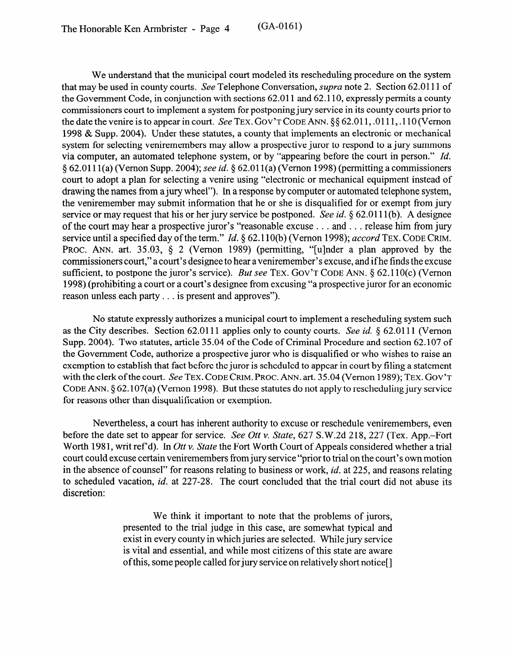We understand that the municipal court modeled its rescheduling procedure on the system that may be used in county courts. See Telephone Conversation, *supra* note 2. Section 62.0111 of the Government Code, in conjunction with sections 62.011 and 62.110, expressly permits a county commissioners court to implement a system for postponing jury service in its county courts prior to the date the venire is to appear in court. See **TEX. GOV'T CODE** ANN. 85 62.011, .Ol 11,. 110 (Vernon 1998 & Supp. 2004). Under these statutes, a county that implements an electronic or mechanical system for selecting veniremembers may allow a prospective juror to respond to a jury summons via computer, an automated telephone system, or by "appearing before the court in person." *Id.*  8 62.011 l(a) (V emon Supp. 2004); see *id.* 8 62.01 l(a) (Vernon 1998) (permitting a commissioners court to adopt a plan for selecting a venire using "electronic or mechanical equipment instead of drawing the names from a jury wheel"). In a response by computer or automated telephone system, the veniremember may submit information that he or she is disqualified for or exempt from jury service or may request that his or her jury service be postponed. See *id*. § 62.0111(b). A designee of the court may hear a prospective juror's "reasonable excuse . . . and . . . release him from jury service until a specified day of the term." *Id.* § 62.110(b) (Vernon 1998); accord TEX. CODE CRIM. PROC. ANN. art. 35.03, § 2 (Vernon 1989) (permitting, "[u]nder a plan approved by the commissioners court," a court's designee to hear a veniremember's excuse, and ifhe finds the excuse sufficient, to postpone the juror's service). *But see* TEX. GOV'T CODE ANN. § 62.110(c) (Vernon 1998) (prohibiting a court or a court's designee from excusing "a prospective juror for an economic reason unless each party. . . is present and approves").

No statute expressly authorizes a municipal court to implement a rescheduling system such as the City describes. Section 62.0111 applies only to county courts. See *id. §* 62.0111 (Vernon Supp. 2004). Two statutes, article 35.04 of the Code of Criminal Procedure and section 62.107 of the Government Code, authorize a prospective juror who is disqualified or who wishes to raise an exemption to establish that fact before the juror is scheduled to appear in court by filing a statement with the clerk of the court. See **TEX. CODE GRIM. PROC.** ANN. art. 35.04 (Vernon 1989); **TEX. GOV'T CODE ANN.** 8 62.107(a) (Vernon 1998). But these statutes do not apply to rescheduling jury service for reasons other than disqualification or exemption.

Nevertheless, a court has inherent authority to excuse or reschedule veniremembers, even before the date set to appear for service. *See Ott v. State,* 627 S.W.2d 218, 227 (Tex. App.-Fort Worth 1981, writ ref'd). In *Ott v. State* the Fort Worth Court of Appeals considered whether a trial court could excuse certain veniremembers from jury service "prior to trial on the court's own motion in the absence of counsel" for reasons relating to business or work, *id.* at 225, and reasons relating to scheduled vacation, *id.* at 227-28. The court concluded that the trial court did not abuse its discretion:

> We think it important to note that the problems of jurors, presented to the trial judge in this case, are somewhat typical and exist in every county in which juries are selected. While jury service is vital and essential, and while most citizens of this state are aware of this, some people called for jury service on relatively short notice[]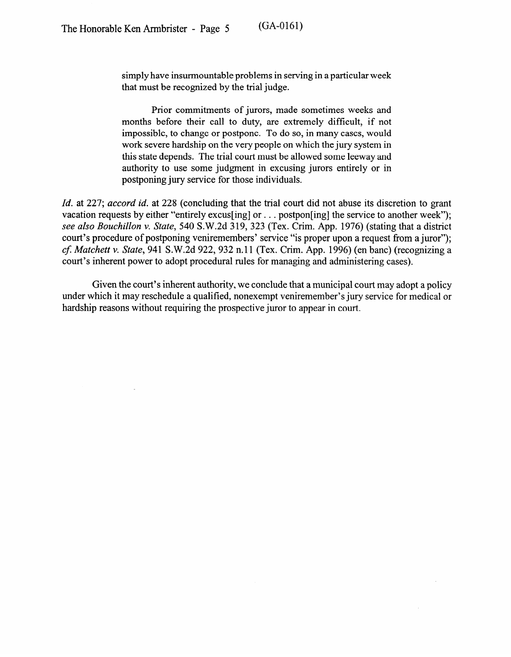simply have insurmountable problems in serving in a particular week that must be recognized by the trial judge.

Prior commitments of jurors, made sometimes weeks and months before their call to duty, are extremely difficult, if not impossible, to change or postpone. To do so, in many cases, would work severe hardship on the very people on which the jury system in this state depends. The trial court must be allowed some leeway and authority to use some judgment in excusing jurors entirely or in postponing jury service for those individuals.

*Id.* at *227; accord id.* at 228 (concluding that the trial court did not abuse its discretion to grant vacation requests by either "entirely excus[ing] or . . . postpon[ing] the service to another week"); *see also Bouchillon v. State, 540 S.W.2d 319, 323 (Tex. Crim. App. 1976) (stating that a district* court's procedure of postponing veniremembers' service "is proper upon a request from a juror"); *cj: Matchett v. State,* 941 S.W.2d 922,932 n.11 (Tex. Crim. App. 1996) (en bane) (recognizing a court's inherent power to adopt procedural rules for managing and administering cases).

Given the court's inherent authority, we conclude that a municipal court may adopt a policy under which it may reschedule a qualified, nonexempt veniremember's jury service for medical or hardship reasons without requiring the prospective juror to appear in court.